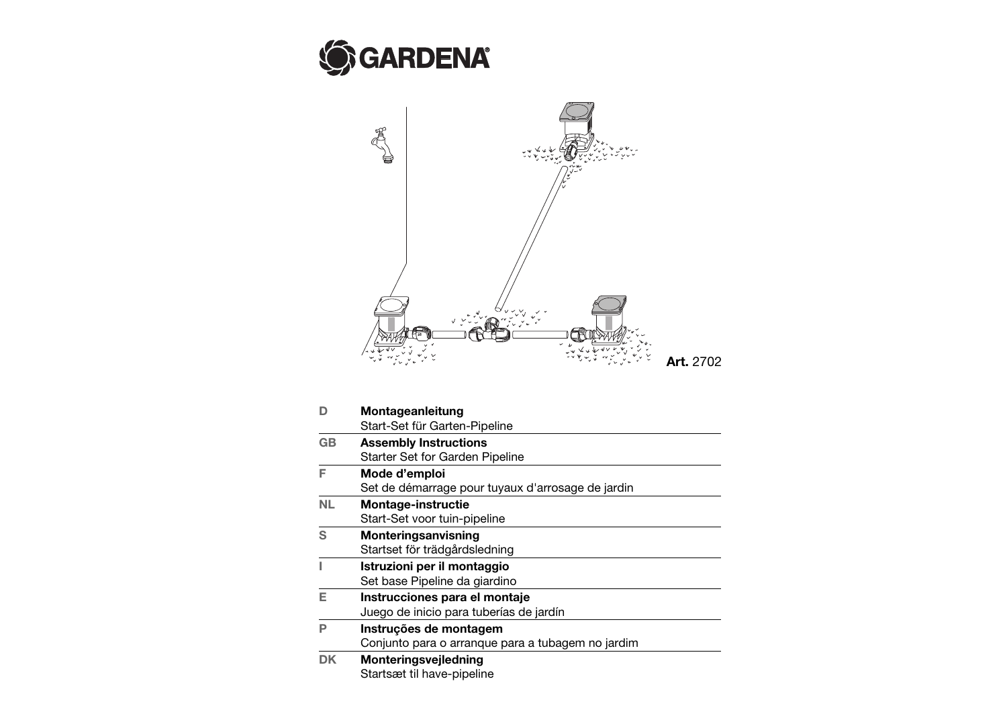



|           | <b>Montageanleitung</b>                           |
|-----------|---------------------------------------------------|
|           | Start-Set für Garten-Pipeline                     |
| <b>GB</b> | <b>Assembly Instructions</b>                      |
|           | Starter Set for Garden Pipeline                   |
| F         | Mode d'emploi                                     |
|           | Set de démarrage pour tuyaux d'arrosage de jardin |
| <b>NL</b> | <b>Montage-instructie</b>                         |
|           | Start-Set voor tuin-pipeline                      |
| S         | Monteringsanvisning                               |
|           | Startset för trädgårdsledning                     |
|           | Istruzioni per il montaggio                       |
|           | Set base Pipeline da giardino                     |
| Е         | Instrucciones para el montaje                     |
|           | Juego de inicio para tuberías de jardín           |
| P         | Instruções de montagem                            |
|           | Conjunto para o arranque para a tubagem no jardim |
| DK        | Monteringsvejledning                              |
|           | Startsæt til have-pipeline                        |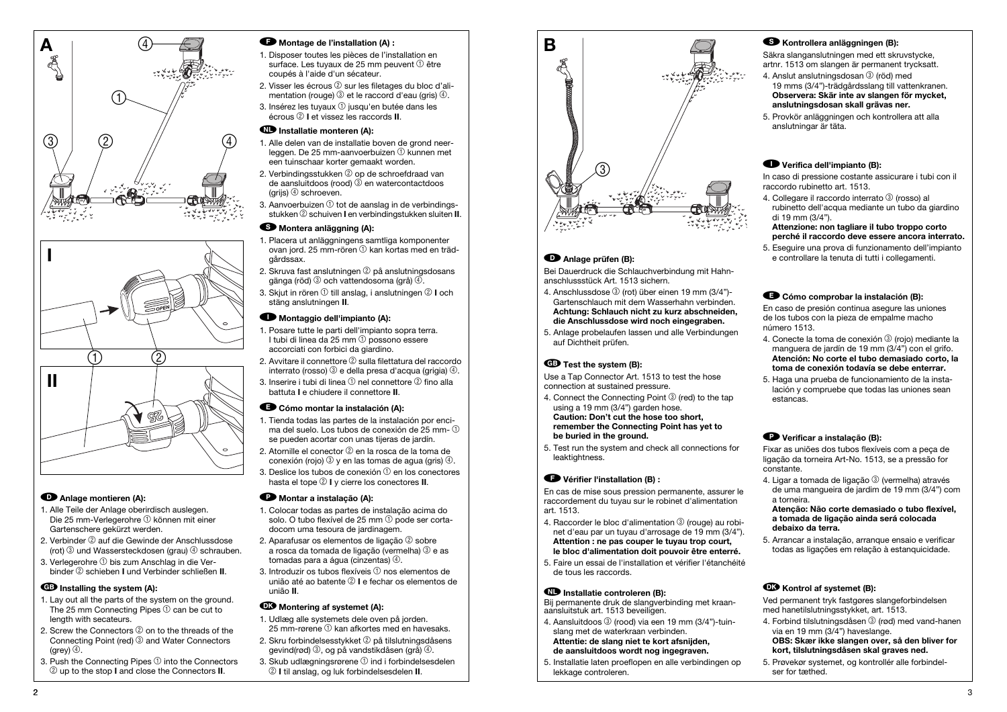



## D**Anlage montieren (A):**

- 1. Alle Teile der Anlage oberirdisch auslegen. Die 25 mm-Verlegerohre 1 können mit einer Gartenschere gekürzt werden.
- 2. Verbinder 2 auf die Gewinde der Anschlussdose (rot) 3 und Wassersteckdosen (grau) 4 schrauben.
- 3. Verlegerohre 1 bis zum Anschlag in die Verbinder 2 schieben **I** und Verbinder schließen **II**.

## G**Installing the system (A):**

- 1. Lay out all the parts of the system on the ground. The 25 mm Connecting Pipes  $\mathcal D$  can be cut to length with secateurs.
- 2. Screw the Connectors 2 on to the threads of the Connecting Point (red) 3 and Water Connectors (grey)  $\circled{4}$ .
- 3. Push the Connecting Pipes  $(1)$  into the Connectors 2 up to the stop **I** and close the Connectors **II**.

#### F**Montage de l'installation (A) :**

- 1. Disposer toutes les pièces de l'installation en surface. Les tuyaux de 25 mm peuvent ① être coupés à l'aide d'un sécateur.
- 2. Visser les écrous 2 sur les filetages du bloc d'alimentation (rouge) 3 et le raccord d'eau (gris) 4.
- 3. Insérez les tuvaux  $\mathbb O$  jusqu'en butée dans les écrous 2 **I** et vissez les raccords **II**.

## V**Installatie monteren (A):**

- 1. Alle delen van de installatie boven de grond neerleggen. De 25 mm-aanvoerbuizen 1 kunnen met een tuinschaar korter gemaakt worden.
- 2. Verbindingsstukken 2 op de schroefdraad van de aansluitdoos (rood) 3 en watercontactdoos  $(\text{griis})$  4 schroeven.
- 3. Aanvoerbuizen  $\mathbb O$  tot de aanslag in de verbindingsstukken 2 schuiven **I** en verbindingstukken sluiten **II**.

#### $\bullet$  Montera anläggning (A):

- 1. Placera ut anläggningens samtliga komponenter ovan jord. 25 mm-rören ① kan kortas med en trädgårdssax.
- 2. Skruva fast anslutningen 2 på anslutningsdosans gänga (röd) 3 och vattendosorna (grå)  $\widetilde{4}$ .
- 3. Skiut in rören  $\textcircled{1}$  till anslag, i anslutningen  $\textcircled{2}$  **I** och stäng anslutningen **II**.

## I**Montaggio dell'impianto (A):**

- 1. Posare tutte le parti dell'impianto sopra terra. I tubi di linea da 25 mm $\Omega$  possono essere accorciati con forbici da giardino.
- 2. Avvitare il connettore 2 sulla filettatura del raccordo interrato (rosso) 3 e della presa d'acqua (grigia) 4. 3. Inserire i tubi di linea  $\mathbb O$  nel connettore  $\mathbb O$  fino alla battuta **I** e chiudere il connettore **II**.

#### E**Cómo montar la instalación (A):**

- 1. Tienda todas las partes de la instalación por encima del suelo. Los tubos de conexión de 25 mm- $\circled$ se pueden acortar con unas tijeras de jardín.
- 2. Atornille el conector 2 en la rosca de la toma de conexión (rojo)  $\textcircled{3}$  y en las tomas de agua (gris)  $\textcircled{4}$ .
- 3. Deslice los tubos de conexión  $0$  en los conectores hasta el tope 2 **I** y cierre los conectores **II**.

#### P**Montar a instalação (A):**

- 1. Colocar todas as partes de instalação acima do solo. O tubo flexível de 25 mm  $\overline{0}$  pode ser cortadocom uma tesoura de jardinagem.
- 2. Aparafusar os elementos de ligação 2 sobre a rosca da tomada de ligação (vermelha) 3 e as tomadas para a água (cinzentas) 4.
- 3. Introduzir os tubos flexíveis  $\mathcal D$  nos elementos de união até ao batente 2 **I** e fechar os elementos de união **II**.

## Q**Montering af systemet (A):**

- 1. Udlæg alle systemets dele oven på jorden. 25 mm-rørene  $\mathcal D$  kan afkortes med en havesaks.
- 2. Skru forbindelsesstykket 2 på tilslutningsdåsens gevind(rød) 3, og på vandstikdåsen (grå) 4.
- 3. Skub udlægningsrørene  $\mathcal D$  ind i forbindelsesdelen 2 **I** til anslag, og luk forbindelsesdelen **II**.



## D**Anlage prüfen (B):**

Bei Dauerdruck die Schlauchverbindung mit Hahnanschlussstück Art. 1513 sichern.

- 4. Anschlussdose 3 (rot) über einen 19 mm (3/4")- Gartenschlauch mit dem Wasserhahn verbinden. **Achtung: Schlauch nicht zu kurz abschneiden, die Anschlussdose wird noch eingegraben.**
- 5. Anlage probelaufen lassen und alle Verbindungen auf Dichtheit prüfen.

## G**Test the system (B):**

Use a Tap Connector Art. 1513 to test the hose connection at sustained pressure.

- 4. Connect the Connecting Point 3 (red) to the tap using a 19 mm (3/4") garden hose. **Caution: Don't cut the hose too short, remember the Connecting Point has yet to be buried in the ground.**
- 5. Test run the system and check all connections for leaktightness.

#### F**Vérifier l'installation (B) :**

En cas de mise sous pression permanente, assurer le raccordement du tuyau sur le robinet d'alimentation art. 1513.

- 4. Raccorder le bloc d'alimentation 3 (rouge) au robinet d'eau par un tuyau d'arrosage de 19 mm (3/4"). **Attention : ne pas couper le tuyau trop court, le bloc d'alimentation doit pouvoir être enterré.**
- 5. Faire un essai de l'installation et vérifier l'étanchéité de tous les raccords.

## V**Installatie controleren (B):**

Bij permanente druk de slangverbinding met kraan-aansluitstuk art. 1513 beveiligen.

- 4. Aansluitdoos 3 (rood) via een 19 mm (3/4")-tuinslang met de waterkraan verbinden. **Attentie: de slang niet te kort afsnijden, de aansluitdoos wordt nog ingegraven.**
- 5. Installatie laten proeflopen en alle verbindingen op lekkage controleren.

## S**Kontrollera anläggningen (B):**

Säkra slanganslutningen med ett skruvstycke, artnr. 1513 om slangen är permanent trycksatt.

- 4. Anslut anslutningsdosan 3 (röd) med 19 mms (3/4")-trädgårdsslang till vattenkranen. **Observera: Skär inte av slangen för mycket, anslutningsdosan skall grävas ner.**
- 5. Provkör anläggningen och kontrollera att alla anslutningar är täta.

#### I**Verifica dell'impianto (B):**

In caso di pressione costante assicurare i tubi con il raccordo rubinetto art. 1513.

- 4. Collegare il raccordo interrato 3 (rosso) al rubinetto dell'acqua mediante un tubo da giardino di 19 mm (3/4").
- **Attenzione: non tagliare il tubo troppo corto perché il raccordo deve essere ancora interrato.**
- 5. Eseguire una prova di funzionamento dell'impianto e controllare la tenuta di tutti i collegamenti.

#### E**Cómo comprobar la instalación (B):**

En caso de presión continua asegure las uniones de los tubos con la pieza de empalme macho número 1513.

- 4. Conecte la toma de conexión 3 (rojo) mediante la manguera de jardín de 19 mm (3/4") con el grifo. **Atención: No corte el tubo demasiado corto, la toma de conexión todavía se debe enterrar.**
- 5. Haga una prueba de funcionamiento de la instalación y compruebe que todas las uniones sean estancas.

## P**Verificar a instalação (B):**

Fixar as uniões dos tubos flexíveis com a peça de ligação da torneira Art-No. 1513, se a pressão for constante.

4. Ligar a tomada de ligação 3 (vermelha) através de uma mangueira de jardim de 19 mm (3/4") com a torneira.

**Atenção: Não corte demasiado o tubo flexível, a tomada de ligação ainda será colocada debaixo da terra.**

5. Arrancar a instalação, arranque ensaio e verificar todas as ligações em relação à estanquicidade.

## Q**Kontrol af systemet (B):**

Ved permanent tryk fastgøres slangeforbindelsen med hanetilslutningsstykket, art. 1513.

- 4. Forbind tilslutningsdåsen 3 (rød) med vand-hanen via en 19 mm (3/4") haveslange. **OBS: Skær ikke slangen over, så den bliver for kort, tilslutningsdåsen skal graves ned.**
- 5. Prøvekør systemet, og kontrollér alle forbindelser for tæthed.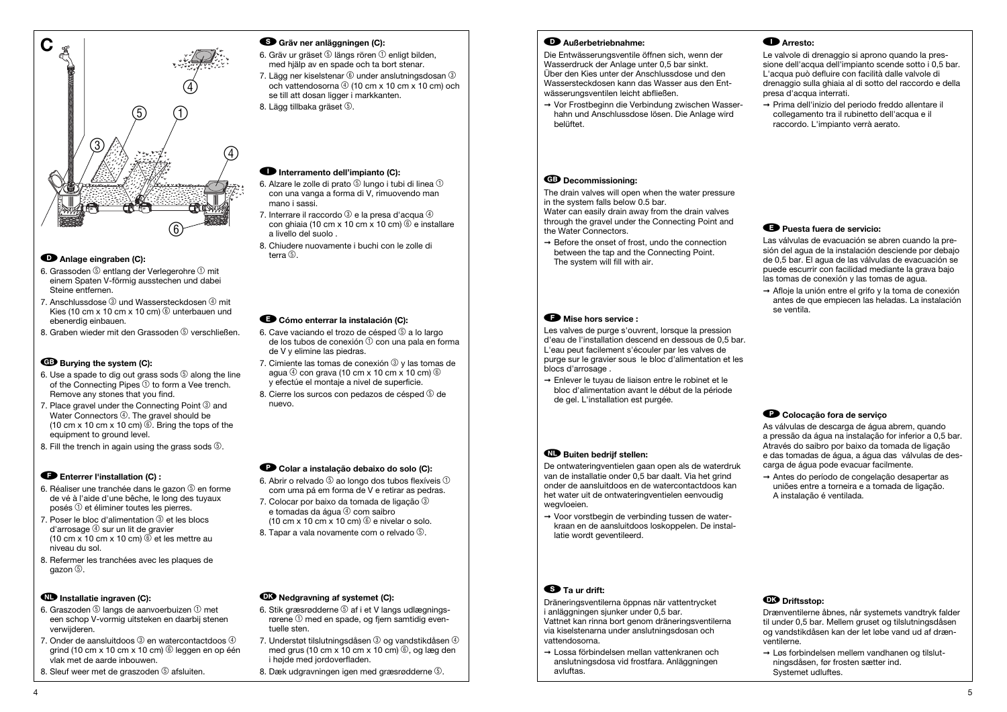

#### D**Anlage eingraben (C):**

- 6. Grassoden  $\mathbb G$  entlang der Verlegerohre  $\mathbb O$  mit einem Spaten V-förmig ausstechen und dabei Steine entfernen.
- 7. Anschlussdose 3 und Wassersteckdosen 4 mit Kies (10 cm  $x$  10 cm  $x$  10 cm)  $\circledcirc$  unterbauen und ebenerdig einbauen.
- 8. Graben wieder mit den Grassoden 5 verschließen.

#### G**Burying the system (C):**

- 6. Use a spade to dig out grass sods 5 along the line of the Connecting Pipes  $\circled{1}$  to form a Vee trench. Remove any stones that you find.
- 7. Place gravel under the Connecting Point 3 and Water Connectors 4. The gravel should be  $(10 \text{ cm} \times 10 \text{ cm} \times 10 \text{ cm})$   $\odot$ . Bring the tops of the equipment to ground level.
- 8. Fill the trench in again using the grass sods  $\circled{5}$ .

#### **Enterrer l'installation (C) :**

- 6. Réaliser une tranchée dans le gazon 5 en forme de vé à l'aide d'une bêche, le long des tuyaux posés  $\textcircled{1}$  et éliminer toutes les pierres.
- 7. Poser le bloc d'alimentation 3 et les blocs  $d'$ arrosage  $@$  sur un lit de gravier  $(10 \text{ cm} \times 10 \text{ cm} \times 10 \text{ cm})$   $\odot$  et les mettre au niveau du sol.
- 8. Refermer les tranchées avec les plaques de gazon 5.

#### V**Installatie ingraven (C):**

- 6. Graszoden  $\textcircled{\scriptsize{5}}$  langs de aanvoerbuizen  $\textcircled{\scriptsize{1}}$  met een schop V-vormig uitsteken en daarbij stenen verwijderen.
- 7. Onder de aansluitdoos 3 en watercontactdoos 4 grind (10 cm x 10 cm x 10 cm) ® leggen en op één vlak met de aarde inbouwen.
- 8. Sleuf weer met de graszoden 5 afsluiten.

#### S**Gräv ner anläggningen (C):**

- 6. Gräv ur gräset  $\textcircled{\scriptsize{5}}$  längs rören  $\textcircled{\scriptsize{1}}$  enligt bilden, med hjälp av en spade och ta bort stenar.
- 7. Lägg ner kiselstenar  $\textcircled{\scriptsize{6}}$  under anslutningsdosan  $\textcircled{\scriptsize{3}}$ och vattendosorna  $\overline{4}$  (10 cm x 10 cm x 10 cm) och se till att dosan ligger i markkanten.
- 8. Lägg tillbaka gräset 5.

## I**Interramento dell'impianto (C):**

- 6. Alzare le zolle di prato  $\textcircled{\scriptsize{5}}$  lungo i tubi di linea  $\textcircled{\scriptsize{1}}$ con una vanga a forma di V, rimuovendo man mano i sassi.
- 7. Interrare il raccordo  $\textcircled{3}$  e la presa d'acqua  $\textcircled{4}$ con ghiaia (10 cm x 10 cm x 10 cm)  $\circledcirc$  e installare a livello del suolo .
- 8. Chiudere nuovamente i buchi con le zolle di  $t = r \cdot a$  $(5)$

#### E**Cómo enterrar la instalación (C):**

- 6. Cave vaciando el trozo de césped 5 a lo largo de los tubos de conexión  $\mathcal D$  con una pala en forma de V y elimine las piedras.
- 7. Cimiente las tomas de conexión 3 y las tomas de agua  $\circledA$  con grava (10 cm x 10 cm x 10 cm)  $\circledB$ y efectúe el montaje a nivel de superficie.
- 8. Cierre los surcos con pedazos de césped 5 de nuevo.

#### P**Colar a instalação debaixo do solo (C):**

- 6. Abrir o relvado  $\textcircled{\tiny{5}}$  ao longo dos tubos flexíveis  $\textcircled{\tiny{1}}$ com uma pá em forma de V e retirar as pedras.
- 7. Colocar por baixo da tomada de ligação 3 e tomadas da água 4 com saibro (10 cm x 10 cm x 10 cm)  $\circledS$  e nivelar o solo.
- 8. Tapar a vala novamente com o relvado 5.

#### Q**Nedgravning af systemet (C):**

- 6. Stik græsrødderne 5 af i et V langs udlægningsrørene  $\mathcal D$  med en spade, og fiern samtidig eventuelle sten.
- 7. Understøt tilslutningsdåsen 3 og vandstikdåsen 4 med grus (10 cm x 10 cm x 10 cm) (6), og læg den i højde med jordoverfladen.
- 8. Dæk udgravningen igen med græsrødderne 5.

## D**Außerbetriebnahme:**

Die Entwässerungsventile öffnen sich, wenn der Wasserdruck der Anlage unter 0,5 bar sinkt. Über den Kies unter der Anschlussdose und den Wassersteckdosen kann das Wasser aus den Entwässerungsventilen leicht abfließen.

➞ Vor Frostbeginn die Verbindung zwischen Wasserhahn und Anschlussdose lösen. Die Anlage wird belüftet.

#### G**Decommissioning:**

The drain valves will open when the water pressure in the system falls below 0.5 bar. Water can easily drain away from the drain valves through the gravel under the Connecting Point and the Water Connectors.

 $\rightarrow$  Before the onset of frost, undo the connection between the tap and the Connecting Point. The system will fill with air.

#### F**Mise hors service :**

Les valves de purge s'ouvrent, lorsque la pression d'eau de l'installation descend en dessous de 0,5 bar. L'eau peut facilement s'écouler par les valves de purge sur le gravier sous le bloc d'alimentation et les blocs d'arrosage.

➞ Enlever le tuyau de liaison entre le robinet et le bloc d'alimentation avant le début de la période de gel. L'installation est purgée.

#### V**Buiten bedrijf stellen:**

De ontwateringventielen gaan open als de waterdruk van de installatie onder 0,5 bar daalt. Via het grind onder de aansluitdoos en de watercontactdoos kan het water uit de ontwateringventielen eenvoudig wegvloeien.

➞ Voor vorstbegin de verbinding tussen de waterkraan en de aansluitdoos loskoppelen. De installatie wordt geventileerd.

## $\bullet$  Ta ur drift:

Dräneringsventilerna öppnas när vattentrycket i anläggningen sjunker under 0,5 bar. Vattnet kan rinna bort genom dräneringsventilerna via kiselstenarna under anslutningsdosan och vattendosorna.

➞ Lossa förbindelsen mellan vattenkranen och anslutningsdosa vid frostfara. Anläggningen avluftas.

#### I**Arresto:**

Le valvole di drenaggio si aprono quando la pressione dell'acqua dell'impianto scende sotto i 0,5 bar. L'acqua può defluire con facilità dalle valvole di drenaggio sulla ghiaia al di sotto del raccordo e della presa d'acqua interrati.

➞ Prima dell'inizio del periodo freddo allentare il collegamento tra il rubinetto dell'acqua e il raccordo. L'impianto verrà aerato.

#### E**Puesta fuera de servicio:**

Las válvulas de evacuación se abren cuando la presión del agua de la instalación desciende por debajo de 0,5 bar. El agua de las válvulas de evacuación se puede escurrir con facilidad mediante la grava bajo las tomas de conexión y las tomas de agua.

➞ Afloje la unión entre el grifo y la toma de conexión antes de que empiecen las heladas. La instalación se ventila.

## P**Colocação fora de serviço**

As válvulas de descarga de água abrem, quando a pressão da água na instalação for inferior a 0,5 bar. Através do saibro por baixo da tomada de ligação e das tomadas de água, a água das válvulas de descarga de água pode evacuar facilmente.

➞ Antes do período de congelação desapertar as uniões entre a torneira e a tomada de ligação. A instalação é ventilada.

## Q**Driftsstop:**

Drænventilerne åbnes, når systemets vandtryk falder til under 0,5 bar. Mellem gruset og tilslutningsdåsen og vandstikdåsen kan der let løbe vand ud af drænventilerne.

➞ Løs forbindelsen mellem vandhanen og tilslutningsdåsen, før frosten sætter ind. Systemet udluftes.